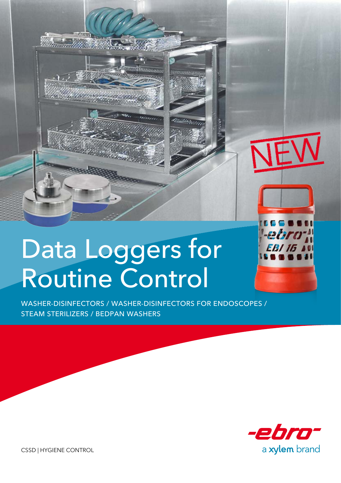

diam non-mainline

Washer-Disinfectors / Washer-Disinfectors for Endoscopes / Steam Sterilizers / Bedpan Washers



CSSD | Hygiene Control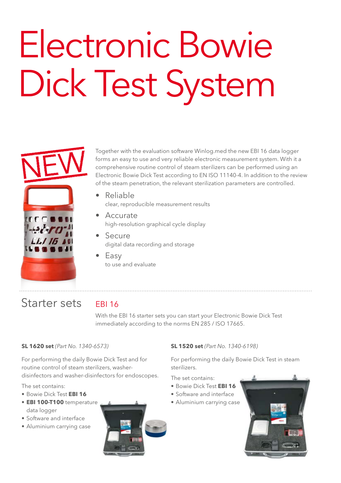# Electronic Bowie Dick Test System



Together with the evaluation software Winlog.med the new EBI 16 data logger forms an easy to use and very reliable electronic measurement system. With it a comprehensive routine control of steam sterilizers can be performed using an Electronic Bowie Dick Test according to EN ISO 11140-4. In addition to the review of the steam penetration, the relevant sterilization parameters are controlled.

- Reliable clear, reproducible measurement results
- Accurate high-resolution graphical cycle display
- Secure digital data recording and storage
- Easy to use and evaluate

# Starter sets

## EBI 16

With the EBI 16 starter sets you can start your Electronic Bowie Dick Test immediately according to the norms EN 285 / ISO 17665.

### **SL 1620 set** *(Part No. 1340-6573)*

For performing the daily Bowie Dick Test and for routine control of steam sterilizers, washerdisinfectors and washer-disinfectors for endoscopes.

The set contains:

- Bowie Dick Test **EBI 16**
- **• EBI 100-T100** temperature data logger
- Software and interface
- Aluminium carrying case



#### **SL 1520 set** *(Part No. 1340-6198)*

For performing the daily Bowie Dick Test in steam sterilizers.

The set contains:

- Bowie Dick Test **EBI 16**
- Software and interface
- Aluminium carrying case

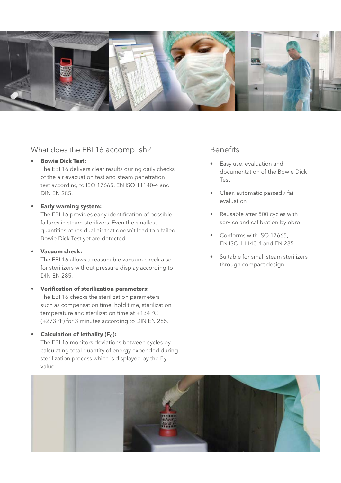

### What does the EBI 16 accomplish?

#### **• Bowie Dick Test:**

The EBI 16 delivers clear results during daily checks of the air evacuation test and steam penetration test according to ISO 17665, EN ISO 11140-4 and DIN EN 285.

#### **• Early warning system:**

The EBI 16 provides early identification of possible failures in steam-sterilizers. Even the smallest quantities of residual air that doesn`t lead to a failed Bowie Dick Test yet are detected.

#### **• Vacuum check:**

The EBI 16 allows a reasonable vacuum check also for sterilizers without pressure display according to DIN EN 285.

#### **• Verification of sterilization parameters:**

The EBI 16 checks the sterilization parameters such as compensation time, hold time, sterilization temperature and sterilization time at +134 °C (+273 °F) for 3 minutes according to DIN EN 285.

#### **•** Calculation of lethality (F<sub>0</sub>):

The EBI 16 monitors deviations between cycles by calculating total quantity of energy expended during sterilization process which is displayed by the  $F_0$ value.

## Benefits

- Easy use, evaluation and documentation of the Bowie Dick Test
- Clear, automatic passed / fail evaluation
- Reusable after 500 cycles with service and calibration by ebro
- Conforms with ISO 17665, EN ISO 11140-4 and EN 285
- Suitable for small steam sterilizers through compact design

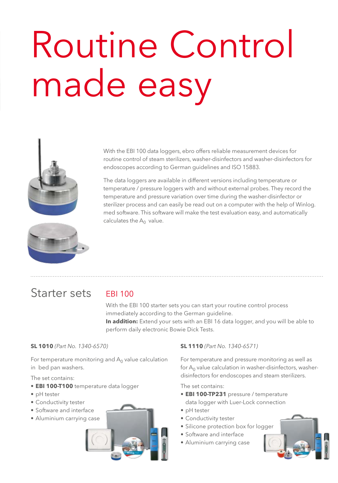# Routine Control made easy



With the EBI 100 data loggers, ebro offers reliable measurement devices for routine control of steam sterilizers, washer-disinfectors and washer-disinfectors for endoscopes according to German guidelines and ISO 15883.

The data loggers are available in different versions including temperature or temperature / pressure loggers with and without external probes. They record the temperature and pressure variation over time during the washer-disinfector or sterilizer process and can easily be read out on a computer with the help of Winlog. med software. This software will make the test evaluation easy, and automatically calculates the  $A_0$  value.



# Starter sets

## EBI 100

With the EBI 100 starter sets you can start your routine control process immediately according to the German guideline. **In addition:** Extend your sets with an EBI 16 data logger, and you will be able to perform daily electronic Bowie Dick Tests.

#### **SL 1010** *(Part No. 1340-6570)*

For temperature monitoring and  $A_0$  value calculation in bed pan washers.

The set contains:

- **• EBI 100-T100** temperature data logger
- pH tester
- Conductivity tester
- Software and interface
- Aluminium carrying case



#### **SL 1110** *(Part No. 1340-6571)*

For temperature and pressure monitoring as well as for  $A_0$  value calculation in washer-disinfectors, washerdisinfectors for endoscopes and steam sterilizers.

The set contains:

- **• EBI 100-TP231** pressure / temperature data logger with Luer-Lock connection
- pH tester
- Conductivity tester
- Silicone protection box for logger
- Software and interface
- Aluminium carrying case

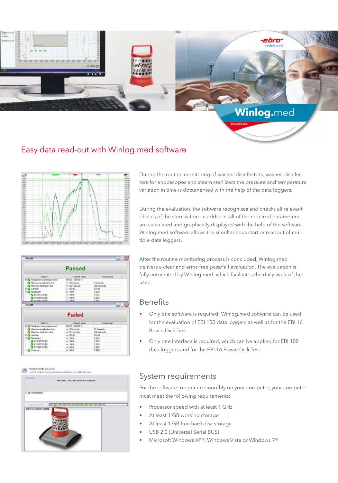

## Easy data read-out with Winlog.med software



During the routine monitoring of washer-disinfectors, washer-disinfectors for endoscopes and steam sterilizers the pressure and temperature variation in time is documented with the help of the data loggers.

During the evaluation, the software recognizes and checks all relevant phases of the sterilization. In addition, all of the required parameters are calculated and graphically displayed with the help of the software. Winlog.med software allows the simultaneous start or readout of multiple data loggers.



After the routine monitoring process is concluded, Winlog.med delivers a clear and error-free pass/fail evaluation. The evaluation is fully automated by Winlog.med, which facilitates the daily work of the user.

## Benefits

- Only one software is required: Winlog.med software can be used for the evaluation of EBI 100 data loggers as well as for the EBI 16 Bowie Dick Test.
- Only one interface is required, which can be applied for EBI 100 data loggers and for the EBI 16 Bowie Dick Test.

## System requirements

For the software to operate smoothly on your computer, your computer must meet the following requirements:

- Processor speed with at least 1 GHz
- At least 1 GB working storage
- At least 1 GB free hard disc storage
- USB 2.0 (Universal Serial BUS)
- Microsoft Windows XP®, Windows Vista or Windows 7®

**Posthot which accurate**<br>first ( ) folye Se do Asset  $\sim$